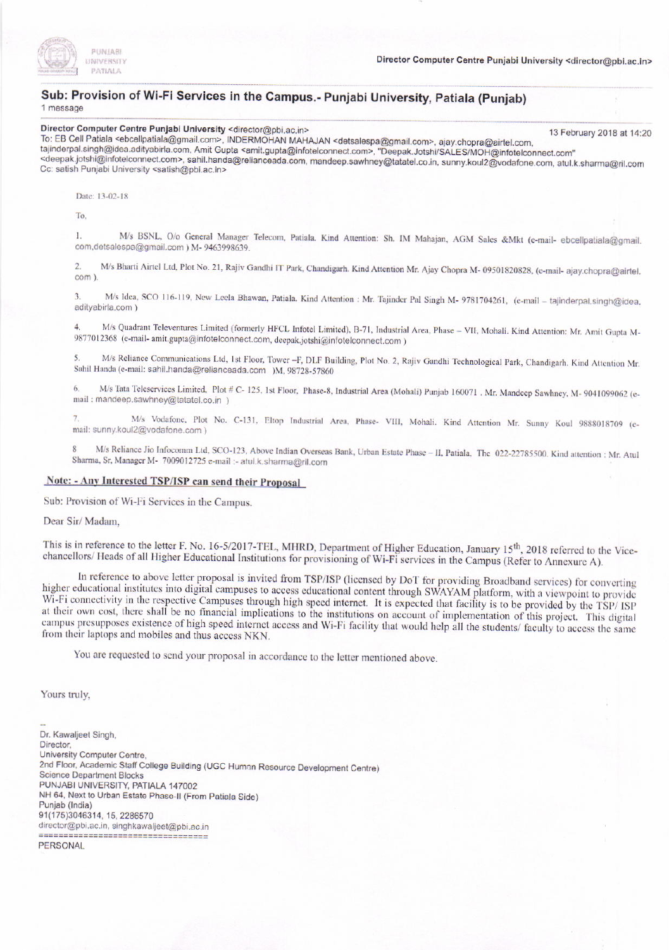

## Sub: Provision of Wi-Fi Services in the Campus.- Punjabi University, Patiala (Punjab)

Oirector Computer Centre Punjabi University <director@pbi.ac.in> 13 February 2018 at 14:20<br>To: EB Cell Patiala <ebcellpatiala@gmail.com>, INDERMOHAN MAHAJAN <detsalespa@gmail.com>, ajay.chopra@airtel.com,<br>tajinderpal.sing

<deepak.jotshi@infotelconnect.com>, sahil.handa@relianceada.com, mandeep.sawhney@tatatel.co.in, sunny.koul2@vodafone.com, atul.k.sharma@ril.com<br>Cc: satish Punjabi University <satish@pbi.ac.in>

Date: 13-02-18

To.

I. M/s BSNL, O/o General Manager Telecom, Patiala. Kind Attention: Sh. IM Mahajan, AGM Sales &Mkt (e-mail- ebcellpatiala@gmail.com ) M- 9463998639.

2. M/s Bharti Airtel Ltd, Plot No. 21, Rajiv Gandhi IT Park, Chandigarh. Kind Attention Mr. Ajay Chopra M - 09501820828, (e-mail- ajay.chopra@airtel.

3. M/s Idea, SCO 116-119, New Leela Bhawan, Patiala. Kind Attention : Mr. Tajinder Pal Singh M- 9781704261, (e-mail - tajinderpal.singh@idea. adityabirla,com )

4. M/s Quadrant Televentures Limited (formerly HFCL Infotel Limited), B-71, Industrial Area, Phase – VII, Mohali. Kind Attention: Mr. Amit Gupta M-<br>0877012368 (a mail april putt Cliff telegraphic contributions) 9877012368 (e-mail- amit.gupta@infotelconnect.com, deepak.jotshi@infotelconnect.com)

5. M/s Reliance Communications Ltd, 1st Floor, Tower -F, DLF Building, Plot No. 2, Rajiv Gandhi Technological Park, Chandigarh. Kind Attention Mr. Sahil Handa (e-mail: sahil.handa@relianceada.com )M. 98728-57860

6. M/s Tata Teleservices Limited, Plot # C-125, 1st Floor, Phase-8, Industrial Area (Mohali) Punjab 160071 . Mr. Mandeep Sawhney, M-9041099062 (email: mandeep.sawhney@tatatel.co.in )

M/s Vodafone, Plot No. C-131, Eltop Industrial Area, Phase- VIII, Mohali. Kind Attention Mr. Sunny Koul 9888018709 (e-mail: sunny.koul2@vodafone.com )

M/s Reliance Jio Infocomm Ltd, SCO-123, Above Indian Overseas Bank, Urban Estate Phase - II, Patiala, The 022-22785500. Kind attention : Mr. Atul Sharma, Sr, Manager M- 7009012725 e-mail :- atul k.sharma@ril.com

#### Note: - Any Interested TSP/ISP can send their Proposal

Sub: Provision of Wi-Fi Services in the Campus.

Dear Sir/Madam,

This is in reference to the letter F. No. 16-5/2017-TEL, MHRD, Department of Higher Education, January 15<sup>th</sup>, 2018 referred to the Vice-chancellors/ Heads of all Higher Educational Institutions for provisioning of Wi-Fi s

In reference to above letter proposal is invited from TSP/ISP (licensed by DoT for providing Broadband services) for converting higher educational institutes into digital campuses to access educational content through SWAY Wi-Fi connectivity in the respective Campuses through high speed internet. It is expected that facility is to be provided by the TSP/ISP at their own cost, there shall be no financial implications to the institutions on ac campus presupposes existence of high speed internet access and Wi-Fi facility that would help all the students/ faculty to access the same from their laptops and mobiles and thus access NKN.

You are requested to send your proposal in accordance to the letter mentioned above.

Yours truly,

Dr. Kawaljeet Singh, **Director** University Computer Centre, 2nd Floor, Academic Staff College Building (UGC Human Resource Development Centre) Science Department Blocks PUNJABI UNIVERSITY, PATIALA 147002 NH 64, Next to Urban Estate Phase-II (From Patiala Side)<br>Puniab (India) s1(175)3046314, 15, 2286570 director@pbi.ac.in, singhkawaljeet@pbi.ac.in **PERSONAL**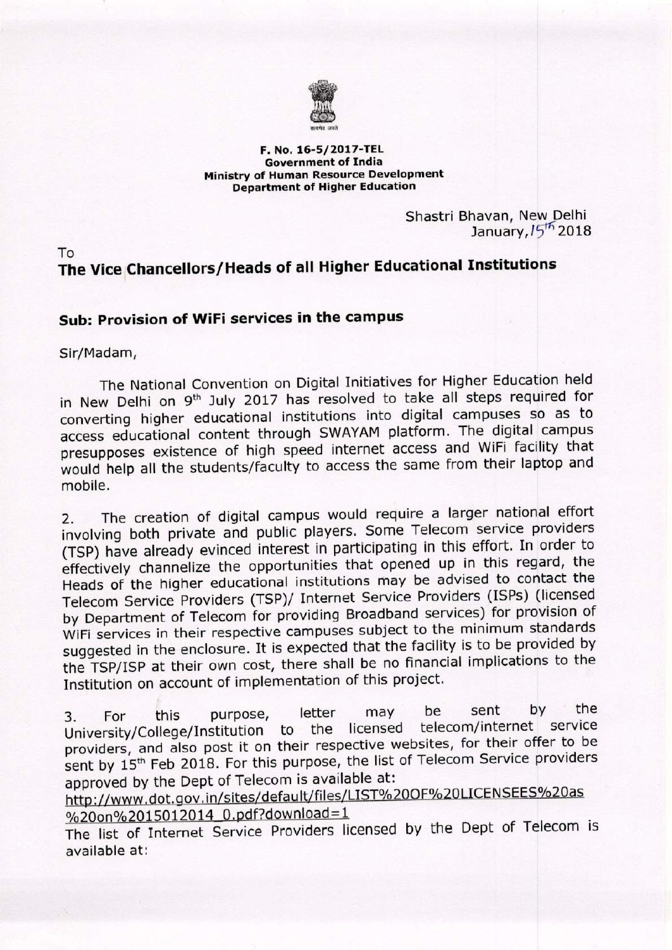

#### F. No. 16-5/2017-TEL **Government of India** Ministry of Human Resource Development **Department of Higher Education**

Shastri Bhavan, New Delhi January, 15<sup>th</sup> 2018

## To The Vice Chancellors/Heads of all Higher Educational Institutions

### Sub: Provision of WiFi services in the campus

Sir/Madam,

The National Convention on Digital Initiatives for Higher Education held in New Delhi on 9<sup>th</sup> July 2017 has resolved to take all steps required for converting higher educational institutions into digital campuses so as to access educational content through SWAYAM platform. The digital campus presupposes existence of high speed internet access and WiFi facility that would help all the students/faculty to access the same from their laptop and mobile.

The creation of digital campus would require a larger national effort  $2.$ involving both private and public players. Some Telecom service providers (TSP) have already evinced interest in participating in this effort. In order to effectively channelize the opportunities that opened up in this regard, the Heads of the higher educational institutions may be advised to contact the Telecom Service Providers (TSP)/ Internet Service Providers (ISPs) (licensed by Department of Telecom for providing Broadband services) for provision of WiFi services in their respective campuses subject to the minimum standards suggested in the enclosure. It is expected that the facility is to be provided by the TSP/ISP at their own cost, there shall be no financial implications to the Institution on account of implementation of this project.

by the sent be letter may this purpose,  $\overline{3}$ . For telecom/internet service University/College/Institution to the licensed providers, and also post it on their respective websites, for their offer to be sent by 15<sup>th</sup> Feb 2018. For this purpose, the list of Telecom Service providers approved by the Dept of Telecom is available at:

http://www.dot.gov.in/sites/default/files/LIST%20OF%20LICENSEES%20as %20on%2015012014 0.pdf?download=1

The list of Internet Service Providers licensed by the Dept of Telecom is available at: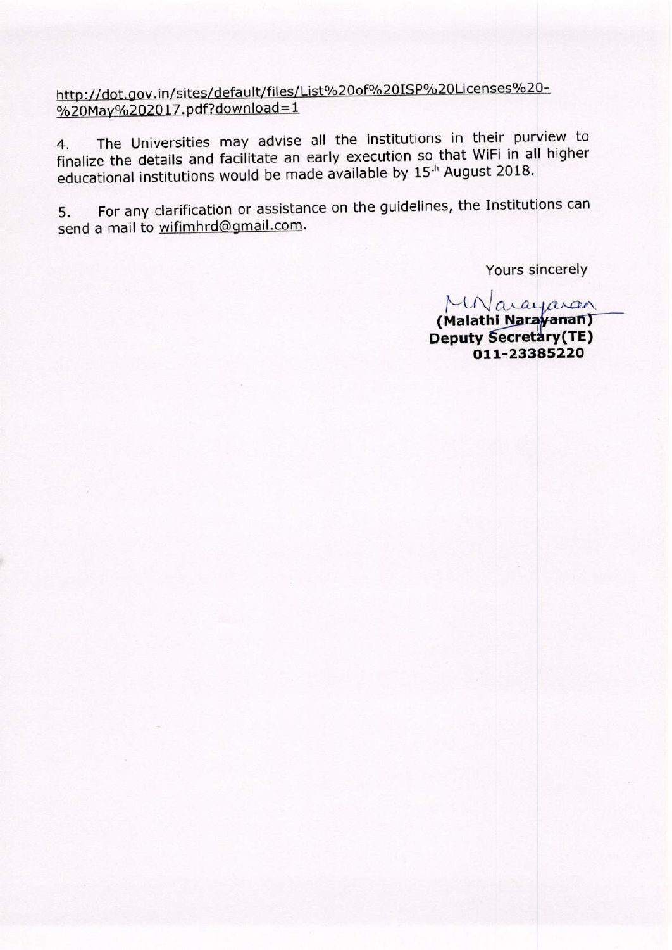http://dot.gov.in/sites/default/files/List%20of%20ISP%20Licenses%20-%20May%202017.pdf?download=1

The Universities may advise all the institutions in their purview to  $4.$ finalize the details and facilitate an early execution so that WiFi in all higher educational institutions would be made available by 15<sup>th</sup> August 2018.

For any clarification or assistance on the guidelines, the Institutions can 5. send a mail to wifimhrd@gmail.com.

Yours sincerely

MNarayaran (Malathi Narayanan)

**Deputy Secretary(TE)** 011-23385220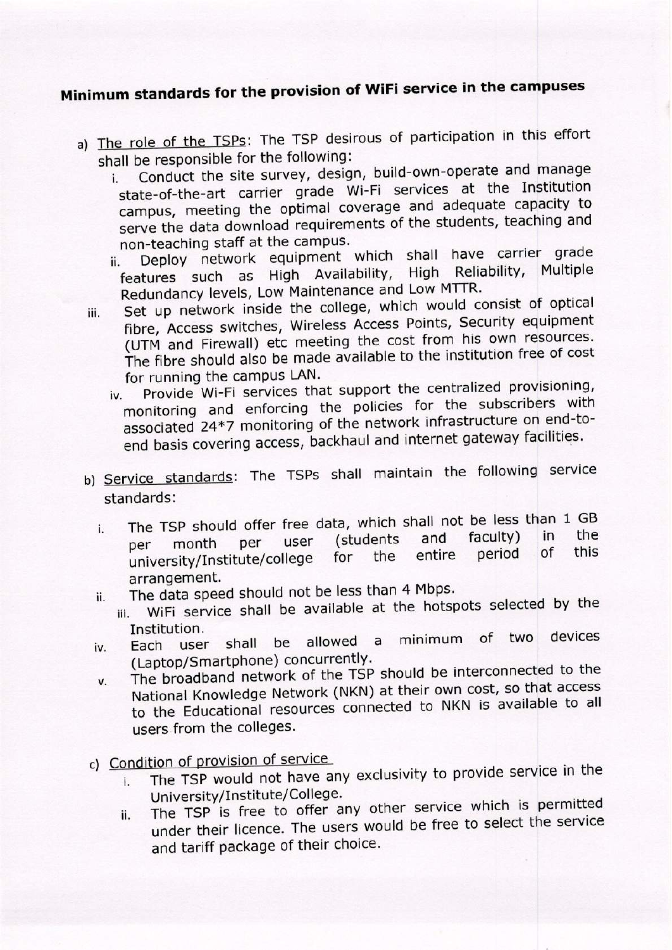# Minimum standards for the provision of WiFi service in the campuses

- a) The role of the TSPs: The TSP desirous of participation in this effort shall be responsible for the following:
	- Conduct the site survey, design, build-own-operate and manage i. state-of-the-art carrier grade Wi-Fi services at the Institution campus, meeting the optimal coverage and adequate capacity to serve the data download requirements of the students, teaching and non-teaching staff at the campus.
	- Deploy network equipment which shall have carrier grade ii. features such as High Availability, High Reliability, Multiple Redundancy levels, Low Maintenance and Low MTTR.
	- Set up network inside the college, which would consist of optical iii. fibre, Access switches, Wireless Access Points, Security equipment (UTM and Firewall) etc meeting the cost from his own resources. The fibre should also be made available to the institution free of cost for running the campus LAN.
		- Provide Wi-Fi services that support the centralized provisioning,  $iv.$ monitoring and enforcing the policies for the subscribers with associated 24\*7 monitoring of the network infrastructure on end-toend basis covering access, backhaul and internet gateway facilities.
	- b) Service standards: The TSPs shall maintain the following service standards:
		- The TSP should offer free data, which shall not be less than 1 GB  $\mathbf{i}$ . the faculty) in (students) and user per month per this of period university/Institute/college entire the for arrangement.
			- The data speed should not be less than 4 Mbps.
		- ii. WiFi service shall be available at the hotspots selected by the iii. Institution.
		- minimum of two devices allowed a user shall be Each iv. (Laptop/Smartphone) concurrently.
		- The broadband network of the TSP should be interconnected to the V. National Knowledge Network (NKN) at their own cost, so that access to the Educational resources connected to NKN is available to all users from the colleges.
	- c) Condition of provision of service
		- The TSP would not have any exclusivity to provide service in the i. University/Institute/College.
		- The TSP is free to offer any other service which is permitted ii. under their licence. The users would be free to select the service and tariff package of their choice.